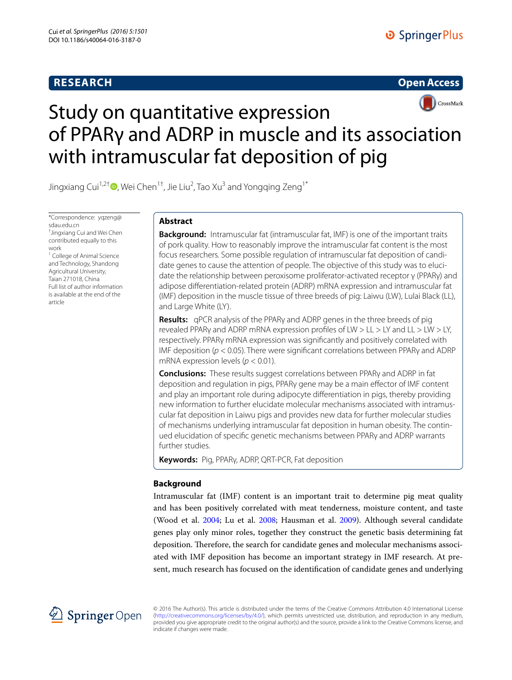# **RESEARCH**





# Study on quantitative expression of PPARγ and ADRP in muscle and its association with intramuscular fat deposition of pig

Jingxiang Cui<sup>1,2†</sup>®[,](http://orcid.org/0000-0002-1808-8501) Wei Chen<sup>1†</sup>, Jie Liu<sup>2</sup>, Tao Xu<sup>3</sup> and Yongqing Zeng<sup>1\*</sup>

\*Correspondence: yqzeng@ sdau.edu.cn † Jingxiang Cui and Wei Chen contributed equally to this work <sup>1</sup> College of Animal Science and Technology, Shandong Agricultural University,

Taian 271018, China Full list of author information is available at the end of the article

# **Abstract**

**Background:** Intramuscular fat (intramuscular fat, IMF) is one of the important traits of pork quality. How to reasonably improve the intramuscular fat content is the most focus researchers. Some possible regulation of intramuscular fat deposition of candidate genes to cause the attention of people. The objective of this study was to elucidate the relationship between peroxisome proliferator-activated receptor γ (PPARγ) and adipose differentiation-related protein (ADRP) mRNA expression and intramuscular fat (IMF) deposition in the muscle tissue of three breeds of pig: Laiwu (LW), Lulai Black (LL), and Large White (LY).

**Results:** qPCR analysis of the PPARγ and ADRP genes in the three breeds of pig revealed PPARγ and ADRP mRNA expression profiles of LW > LL > LY and LL > LW > LY, respectively. PPARγ mRNA expression was significantly and positively correlated with IMF deposition (*p* < 0.05). There were significant correlations between PPARγ and ADRP mRNA expression levels (*p* < 0.01).

**Conclusions:** These results suggest correlations between PPAR<sub>V</sub> and ADRP in fat deposition and regulation in pigs, PPARγ gene may be a main effector of IMF content and play an important role during adipocyte differentiation in pigs, thereby providing new information to further elucidate molecular mechanisms associated with intramuscular fat deposition in Laiwu pigs and provides new data for further molecular studies of mechanisms underlying intramuscular fat deposition in human obesity. The continued elucidation of specific genetic mechanisms between PPARγ and ADRP warrants further studies.

**Keywords:** Pig, PPARγ, ADRP, QRT-PCR, Fat deposition

# **Background**

Intramuscular fat (IMF) content is an important trait to determine pig meat quality and has been positively correlated with meat tenderness, moisture content, and taste (Wood et al. [2004;](#page-7-0) Lu et al. [2008;](#page-6-0) Hausman et al. [2009\)](#page-6-1). Although several candidate genes play only minor roles, together they construct the genetic basis determining fat deposition. Therefore, the search for candidate genes and molecular mechanisms associated with IMF deposition has become an important strategy in IMF research. At present, much research has focused on the identification of candidate genes and underlying



© 2016 The Author(s). This article is distributed under the terms of the Creative Commons Attribution 4.0 International License [\(http://creativecommons.org/licenses/by/4.0/](http://creativecommons.org/licenses/by/4.0/)), which permits unrestricted use, distribution, and reproduction in any medium, provided you give appropriate credit to the original author(s) and the source, provide a link to the Creative Commons license, and indicate if changes were made.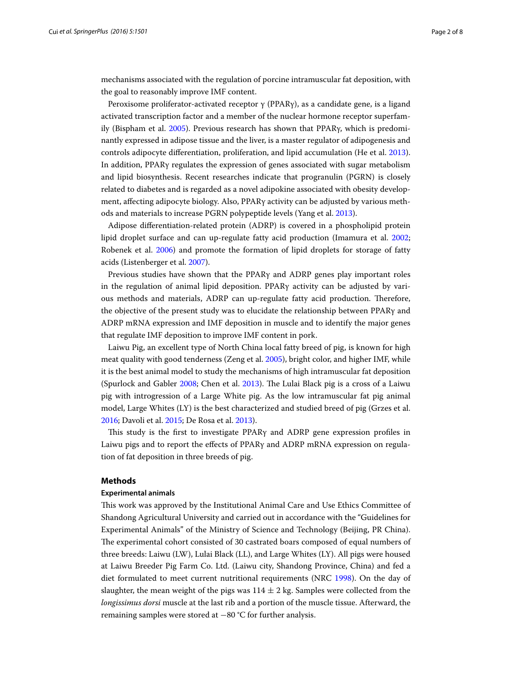mechanisms associated with the regulation of porcine intramuscular fat deposition, with the goal to reasonably improve IMF content.

Peroxisome proliferator-activated receptor  $\gamma$  (PPAR $\gamma$ ), as a candidate gene, is a ligand activated transcription factor and a member of the nuclear hormone receptor superfamily (Bispham et al. [2005](#page-6-2)). Previous research has shown that PPARγ, which is predominantly expressed in adipose tissue and the liver, is a master regulator of adipogenesis and controls adipocyte differentiation, proliferation, and lipid accumulation (He et al. [2013](#page-6-3)). In addition, PPARγ regulates the expression of genes associated with sugar metabolism and lipid biosynthesis. Recent researches indicate that progranulin (PGRN) is closely related to diabetes and is regarded as a novel adipokine associated with obesity development, affecting adipocyte biology. Also, PPARγ activity can be adjusted by various methods and materials to increase PGRN polypeptide levels (Yang et al. [2013](#page-7-1)).

Adipose differentiation-related protein (ADRP) is covered in a phospholipid protein lipid droplet surface and can up-regulate fatty acid production (Imamura et al. [2002](#page-6-4); Robenek et al. [2006](#page-6-5)) and promote the formation of lipid droplets for storage of fatty acids (Listenberger et al. [2007\)](#page-6-6).

Previous studies have shown that the PPARγ and ADRP genes play important roles in the regulation of animal lipid deposition. PPARγ activity can be adjusted by various methods and materials, ADRP can up-regulate fatty acid production. Therefore, the objective of the present study was to elucidate the relationship between PPARγ and ADRP mRNA expression and IMF deposition in muscle and to identify the major genes that regulate IMF deposition to improve IMF content in pork.

Laiwu Pig, an excellent type of North China local fatty breed of pig, is known for high meat quality with good tenderness (Zeng et al. [2005](#page-7-2)), bright color, and higher IMF, while it is the best animal model to study the mechanisms of high intramuscular fat deposition (Spurlock and Gabler [2008;](#page-6-7) Chen et al. [2013\)](#page-6-8). The Lulai Black pig is a cross of a Laiwu pig with introgression of a Large White pig. As the low intramuscular fat pig animal model, Large Whites (LY) is the best characterized and studied breed of pig (Grzes et al. [2016](#page-6-9); Davoli et al. [2015;](#page-6-10) De Rosa et al. [2013\)](#page-6-11).

This study is the first to investigate PPARγ and ADRP gene expression profiles in Laiwu pigs and to report the effects of PPARγ and ADRP mRNA expression on regulation of fat deposition in three breeds of pig.

# **Methods**

## **Experimental animals**

This work was approved by the Institutional Animal Care and Use Ethics Committee of Shandong Agricultural University and carried out in accordance with the "Guidelines for Experimental Animals" of the Ministry of Science and Technology (Beijing, PR China). The experimental cohort consisted of 30 castrated boars composed of equal numbers of three breeds: Laiwu (LW), Lulai Black (LL), and Large Whites (LY). All pigs were housed at Laiwu Breeder Pig Farm Co. Ltd. (Laiwu city, Shandong Province, China) and fed a diet formulated to meet current nutritional requirements (NRC [1998](#page-6-12)). On the day of slaughter, the mean weight of the pigs was  $114 \pm 2$  kg. Samples were collected from the *longissimus dorsi* muscle at the last rib and a portion of the muscle tissue. Afterward, the remaining samples were stored at −80 °C for further analysis.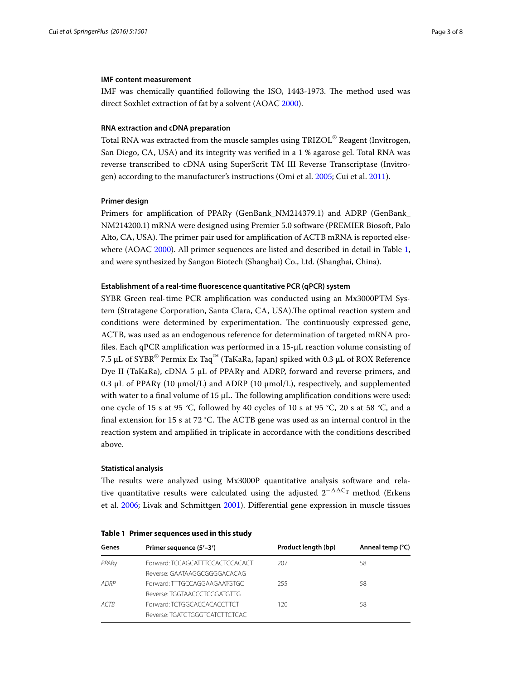# **IMF content measurement**

IMF was chemically quantified following the ISO, 1443-1973. The method used was direct Soxhlet extraction of fat by a solvent (AOAC [2000](#page-6-13)).

## **RNA extraction and cDNA preparation**

Total RNA was extracted from the muscle samples using TRIZOL® Reagent (Invitrogen, San Diego, CA, USA) and its integrity was verified in a 1 % agarose gel. Total RNA was reverse transcribed to cDNA using SuperScrit TM III Reverse Transcriptase (Invitrogen) according to the manufacturer's instructions (Omi et al. [2005](#page-6-14); Cui et al. [2011](#page-6-15)).

## **Primer design**

Primers for amplification of PPARγ (GenBank\_NM214379.1) and ADRP (GenBank\_ NM214200.1) mRNA were designed using Premier 5.0 software (PREMIER Biosoft, Palo Alto, CA, USA). The primer pair used for amplification of ACTB mRNA is reported elsewhere (AOAC [2000\)](#page-6-13). All primer sequences are listed and described in detail in Table [1](#page-2-0), and were synthesized by Sangon Biotech (Shanghai) Co., Ltd. (Shanghai, China).

# **Establishment of a real‑time fluorescence quantitative PCR (qPCR) system**

SYBR Green real-time PCR amplification was conducted using an Mx3000PTM System (Stratagene Corporation, Santa Clara, CA, USA).The optimal reaction system and conditions were determined by experimentation. The continuously expressed gene, ACTB, was used as an endogenous reference for determination of targeted mRNA profiles. Each qPCR amplification was performed in a 15-μL reaction volume consisting of 7.5 μL of SYBR® Permix Ex Taq<sup>™</sup> (TaKaRa, Japan) spiked with 0.3 μL of ROX Reference Dye II (TaKaRa), cDNA 5 μL of PPARγ and ADRP, forward and reverse primers, and 0.3 μL of PPARγ (10 μmol/L) and ADRP (10 μmol/L), respectively, and supplemented with water to a final volume of 15  $\mu$ L. The following amplification conditions were used: one cycle of 15 s at 95 °C, followed by 40 cycles of 10 s at 95 °C, 20 s at 58 °C, and a final extension for 15 s at 72 °C. The ACTB gene was used as an internal control in the reaction system and amplified in triplicate in accordance with the conditions described above.

## **Statistical analysis**

The results were analyzed using Mx3000P quantitative analysis software and relative quantitative results were calculated using the adjusted  $2^{-\Delta\Delta C_T}$  method (Erkens et al. [2006;](#page-6-16) Livak and Schmittgen [2001\)](#page-6-17). Differential gene expression in muscle tissues

| Genes             | Primer sequence (5'-3')         | Product length (bp) | Anneal temp (°C) |
|-------------------|---------------------------------|---------------------|------------------|
| PPAR <sub>V</sub> | Forward: TCCAGCATTTCCACTCCACACT | 207                 | 58               |
|                   | Reverse: GAATAAGGCGGGGACACAG    |                     |                  |
| ADRP              | Forward: TTTGCCAGGAAGAATGTGC    | 255                 | 58               |
|                   | Reverse: TGGTAACCCTCGGATGTTG    |                     |                  |
| ACTR              | Forward: TCTGGCACCACACCTTCT     | 120                 | 58               |
|                   | Reverse: TGATCTGGGTCATCTTCTCAC  |                     |                  |

<span id="page-2-0"></span>

|  |  | Table 1 Primer sequences used in this study |  |  |  |
|--|--|---------------------------------------------|--|--|--|
|--|--|---------------------------------------------|--|--|--|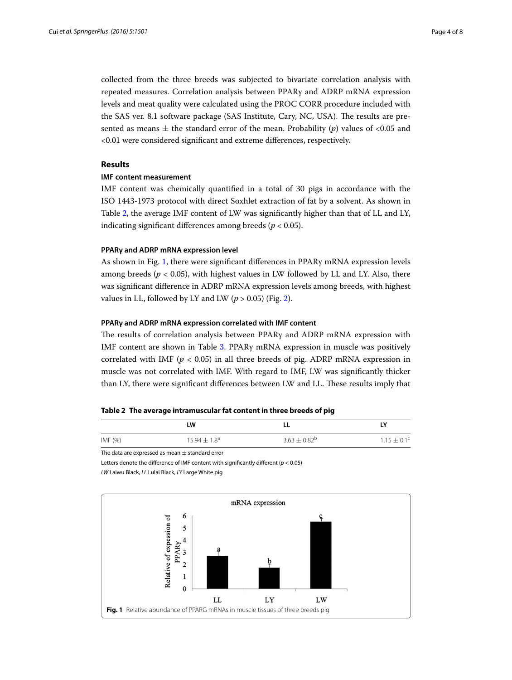collected from the three breeds was subjected to bivariate correlation analysis with repeated measures. Correlation analysis between PPARγ and ADRP mRNA expression levels and meat quality were calculated using the PROC CORR procedure included with the SAS ver. 8.1 software package (SAS Institute, Cary, NC, USA). The results are presented as means  $\pm$  the standard error of the mean. Probability (*p*) values of <0.05 and <0.01 were considered significant and extreme differences, respectively.

# **Results**

## **IMF content measurement**

IMF content was chemically quantified in a total of 30 pigs in accordance with the ISO 1443-1973 protocol with direct Soxhlet extraction of fat by a solvent. As shown in Table [2](#page-3-0), the average IMF content of LW was significantly higher than that of LL and LY, indicating significant differences among breeds ( $p < 0.05$ ).

# **PPARγ and ADRP mRNA expression level**

As shown in Fig. [1](#page-3-1), there were significant differences in PPARγ mRNA expression levels among breeds ( $p < 0.05$ ), with highest values in LW followed by LL and LY. Also, there was significant difference in ADRP mRNA expression levels among breeds, with highest values in LL, followed by LY and LW ( $p > 0.05$ ) (Fig. [2\)](#page-4-0).

# **PPARγ and ADRP mRNA expression correlated with IMF content**

The results of correlation analysis between PPARγ and ADRP mRNA expression with IMF content are shown in Table [3.](#page-4-1) PPARγ mRNA expression in muscle was positively correlated with IMF ( $p < 0.05$ ) in all three breeds of pig. ADRP mRNA expression in muscle was not correlated with IMF. With regard to IMF, LW was significantly thicker than LY, there were significant differences between LW and LL. These results imply that

## <span id="page-3-0"></span>**Table 2 The average intramuscular fat content in three breeds of pig**

|           | LW                      |                   | LΥ                     |
|-----------|-------------------------|-------------------|------------------------|
| IMF $(%)$ | $15.94 \pm 1.8^{\circ}$ | $3.63 \pm 0.82^b$ | $1.15 \pm 0.1^{\circ}$ |

The data are expressed as mean  $\pm$  standard error

Letters denote the difference of IMF content with significantly different (*p* < 0.05)

*LW* Laiwu Black, *LL* Lulai Black, *LY* Large White pig

<span id="page-3-1"></span>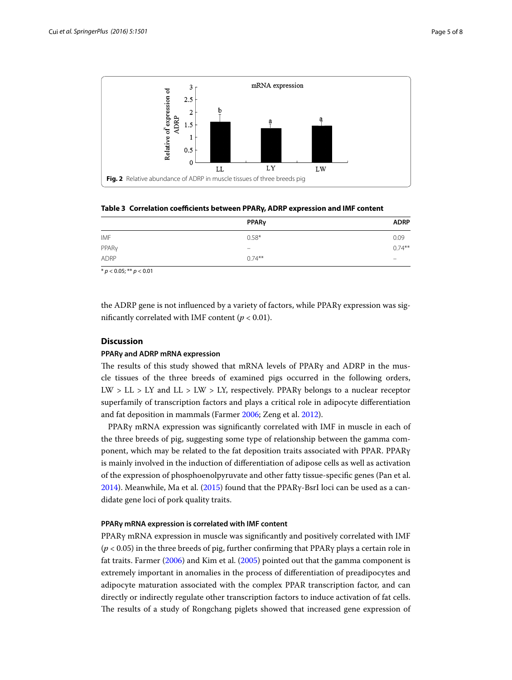

<span id="page-4-1"></span><span id="page-4-0"></span>**Table 3 Correlation coefficients between PPARγ, ADRP expression and IMF content**

|             | PPARy                        | <b>ADRP</b> |
|-------------|------------------------------|-------------|
| IMF         | $0.58*$                      | 0.09        |
| PPARy       | $\qquad \qquad \blacksquare$ | $0.74***$   |
| <b>ADRP</b> | $0.74***$                    | -           |

\* *p* < 0.05; \*\* *p* < 0.01

the ADRP gene is not influenced by a variety of factors, while PPARγ expression was significantly correlated with IMF content ( $p < 0.01$ ).

# **Discussion**

# **PPARγ and ADRP mRNA expression**

The results of this study showed that mRNA levels of PPARγ and ADRP in the muscle tissues of the three breeds of examined pigs occurred in the following orders, LW > LL > LY and LL > LW > LY, respectively. PPAR $\gamma$  belongs to a nuclear receptor superfamily of transcription factors and plays a critical role in adipocyte differentiation and fat deposition in mammals (Farmer [2006](#page-6-18); Zeng et al. [2012](#page-7-3)).

PPARγ mRNA expression was significantly correlated with IMF in muscle in each of the three breeds of pig, suggesting some type of relationship between the gamma component, which may be related to the fat deposition traits associated with PPAR. PPARγ is mainly involved in the induction of differentiation of adipose cells as well as activation of the expression of phosphoenolpyruvate and other fatty tissue-specific genes (Pan et al. [2014](#page-6-19)). Meanwhile, Ma et al. ([2015](#page-6-20)) found that the PPARγ-BsrI loci can be used as a candidate gene loci of pork quality traits.

# **PPARγ mRNA expression is correlated with IMF content**

PPARγ mRNA expression in muscle was significantly and positively correlated with IMF (*p* < 0.05) in the three breeds of pig, further confirming that PPARγ plays a certain role in fat traits. Farmer [\(2006\)](#page-6-18) and Kim et al. ([2005\)](#page-6-21) pointed out that the gamma component is extremely important in anomalies in the process of differentiation of preadipocytes and adipocyte maturation associated with the complex PPAR transcription factor, and can directly or indirectly regulate other transcription factors to induce activation of fat cells. The results of a study of Rongchang piglets showed that increased gene expression of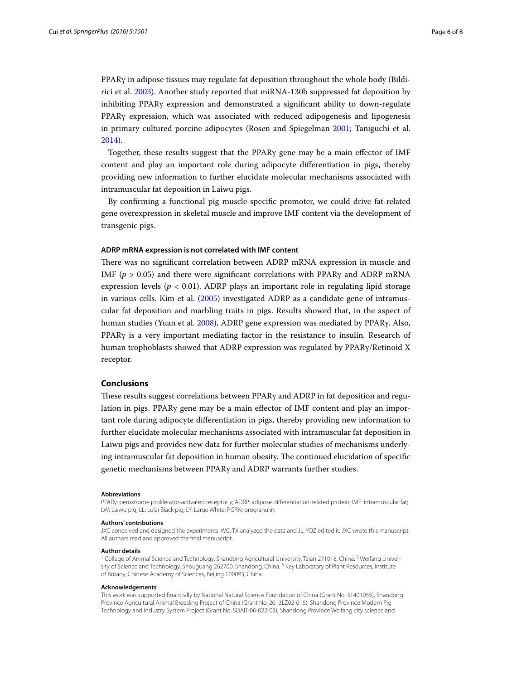PPARγ in adipose tissues may regulate fat deposition throughout the whole body (Bildirici et al. [2003\)](#page-6-22). Another study reported that miRNA-130b suppressed fat deposition by inhibiting PPARγ expression and demonstrated a significant ability to down-regulate PPARγ expression, which was associated with reduced adipogenesis and lipogenesis in primary cultured porcine adipocytes (Rosen and Spiegelman [2001](#page-6-23); Taniguchi et al. [2014](#page-7-4)).

Together, these results suggest that the PPARγ gene may be a main effector of IMF content and play an important role during adipocyte differentiation in pigs, thereby providing new information to further elucidate molecular mechanisms associated with intramuscular fat deposition in Laiwu pigs.

By confirming a functional pig muscle-specific promoter, we could drive fat-related gene overexpression in skeletal muscle and improve IMF content via the development of transgenic pigs.

## **ADRP mRNA expression is not correlated with IMF content**

There was no significant correlation between ADRP mRNA expression in muscle and IMF ( $p > 0.05$ ) and there were significant correlations with PPAR<sub>Y</sub> and ADRP mRNA expression levels ( $p < 0.01$ ). ADRP plays an important role in regulating lipid storage in various cells. Kim et al. [\(2005\)](#page-6-21) investigated ADRP as a candidate gene of intramuscular fat deposition and marbling traits in pigs. Results showed that, in the aspect of human studies (Yuan et al. [2008\)](#page-7-5), ADRP gene expression was mediated by PPARγ. Also, PPARγ is a very important mediating factor in the resistance to insulin. Research of human trophoblasts showed that ADRP expression was regulated by PPARγ/Retinoid X receptor.

# **Conclusions**

These results suggest correlations between PPARγ and ADRP in fat deposition and regulation in pigs. PPARγ gene may be a main effector of IMF content and play an important role during adipocyte differentiation in pigs, thereby providing new information to further elucidate molecular mechanisms associated with intramuscular fat deposition in Laiwu pigs and provides new data for further molecular studies of mechanisms underlying intramuscular fat deposition in human obesity. The continued elucidation of specific genetic mechanisms between PPARγ and ADRP warrants further studies.

#### **Abbreviations**

PPARγ: peroxisome proliferator-activated receptor γ; ADRP: adipose differentiation-related protein; IMF: intramuscular fat; LW: Laiwu pig; LL: Lulai Black pig; LY: Large White; PGRN: progranulin.

#### **Authors' contributions**

JXC conceived and designed the experiments. WC, TX analyzed the data and JL, YQZ edited it. JXC wrote this manuscript. All authors read and approved the final manuscript.

#### **Author details**

 $1$  College of Animal Science and Technology, Shandong Agricultural University, Taian 271018, China. <sup>2</sup> Weifang University of Science and Technology, Shouguang 262700, Shandong, China. <sup>3</sup> Key Laboratory of Plant Resources, Institute of Botany, Chinese Academy of Sciences, Beijing 100093, China.

## **Acknowledgements**

This work was supported financially by National Natural Science Foundation of China (Grant No. 31401055), Shandong Province Agricultural Animal Breeding Project of China (Grant No. 2013LZ02-015), Shandong Province Modern Pig Technology and Industry System Project (Grant No. SDAIT-06-022-03), Shandong Province Weifang city science and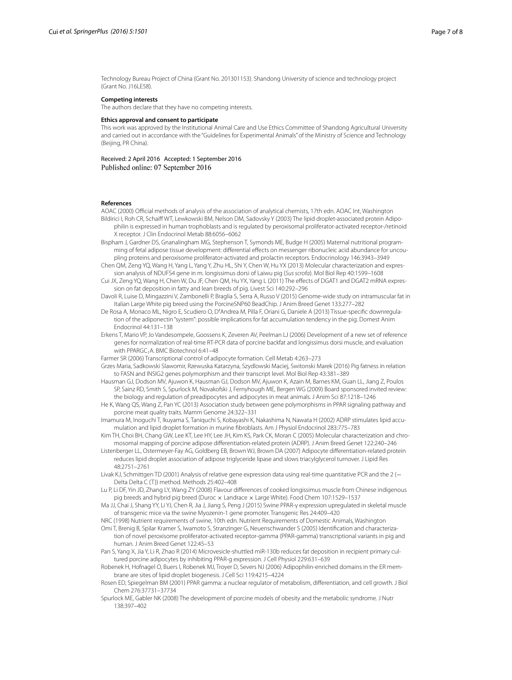Technology Bureau Project of China (Grant No. 201301153). Shandong University of science and technology project (Grant No. J16LE58).

### **Competing interests**

The authors declare that they have no competing interests.

## **Ethics approval and consent to participate**

This work was approved by the Institutional Animal Care and Use Ethics Committee of Shandong Agricultural University and carried out in accordance with the ''Guidelines for Experimental Animals'' of the Ministry of Science and Technology (Beijing, PR China).

Received: 2 April 2016 Accepted: 1 September 2016 Published online: 07 September 2016

#### **References**

- <span id="page-6-22"></span><span id="page-6-13"></span>AOAC (2000) Official methods of analysis of the association of analytical chemists, 17th edn. AOAC Int, Washington Bildirici I, Roh CR, Schaiff WT, Lewkowski BM, Nelson DM, Sadovsky Y (2003) The lipid droplet-associated protein Adipophilin is expressed in human trophoblasts and is regulated by peroxisomal proliferator-activated receptor-/retinoid X receptor. J Clin Endocrinol Metab 88:6056–6062
- <span id="page-6-2"></span>Bispham J, Gardner DS, Gnanalingham MG, Stephenson T, Symonds ME, Budge H (2005) Maternal nutritional programming of fetal adipose tissue development: differential effects on messenger ribonucleic acid abundance for uncoupling proteins and peroxisome proliferator-activated and prolactin receptors. Endocrinology 146:3943–3949
- <span id="page-6-8"></span>Chen QM, Zeng YQ, Wang H, Yang L, Yang Y, Zhu HL, Shi Y, Chen W, Hu YX (2013) Molecular characterization and expression analysis of NDUFS4 gene in m. longissimus dorsi of Laiwu pig (*Sus scrofa*). Mol Biol Rep 40:1599–1608
- <span id="page-6-15"></span>Cui JX, Zeng YQ, Wang H, Chen W, Du JF, Chen QM, Hu YX, Yang L (2011) The effects of DGAT1 and DGAT2 mRNA expression on fat deposition in fatty and lean breeds of pig. Livest Sci 140:292–296
- <span id="page-6-10"></span>Davoli R, Luise D, Mingazzini V, Zambonelli P, Braglia S, Serra A, Russo V (2015) Genome-wide study on intramuscular fat in Italian Large White pig breed using the PorcineSNP60 BeadChip. J Anim Breed Genet 133:277–282
- <span id="page-6-11"></span>De Rosa A, Monaco ML, Nigro E, Scudiero O, D′Andrea M, Pilla F, Oriani G, Daniele A (2013) Tissue-specific downregulation of the adiponectin "system": possible implications for fat accumulation tendency in the pig. Domest Anim Endocrinol 44:131–138
- <span id="page-6-16"></span>Erkens T, Mario VP, Jo Vandesompele, Goossens K, Zeveren AV, Peelman LJ (2006) Development of a new set of reference genes for normalization of real-time RT-PCR data of porcine backfat and longissimus dorsi muscle, and evaluation with PPARGC, A. BMC Biotechnol 6:41-48
- <span id="page-6-18"></span>Farmer SR (2006) Transcriptional control of adipocyte formation. Cell Metab 4:263–273
- <span id="page-6-9"></span>Grzes Maria, Sadkowski Slawomir, Rzewuska Katarzyna, Szydlowski Maciej, Switonski Marek (2016) Pig fatness in relation to FASN and INSIG2 genes polymorphism and their transcript level. Mol Biol Rep 43:381–389
- <span id="page-6-1"></span>Hausman GJ, Dodson MV, Ajuwon K, Hausman GJ, Dodson MV, Ajuwon K, Azain M, Barnes KM, Guan LL, Jiang Z, Poulos SP, Sainz RD, Smith S, Spurlock M, Novakofski J, Fernyhough ME, Bergen WG (2009) Board sponsored invited review: the biology and regulation of preadipocytes and adipocytes in meat animals. J Anim Sci 87:1218–1246
- <span id="page-6-3"></span>He K, Wang QS, Wang Z, Pan YC (2013) Association study between gene polymorphisms in PPAR signaling pathway and porcine meat quality traits. Mamm Genome 24:322–331
- <span id="page-6-4"></span>Imamura M, Inoguchi T, Ikuyama S, Taniquchi S, Kobayashi K, Nakashima N, Nawata H (2002) ADRP stimulates lipid accumulation and lipid droplet formation in murine fibroblasts. Am J Physiol Endocrinol 283:775–783
- <span id="page-6-21"></span>Kim TH, Choi BH, Chang GW, Lee KT, Lee HY, Lee JH, Kim KS, Park CK, Moran C (2005) Molecular characterization and chromosomal mapping of porcine adipose differentiation-related protein (ADRP). J Anim Breed Genet 122:240–246
- <span id="page-6-6"></span>Listenberger LL, Ostermeyer-Fay AG, Goldberg EB, Brown WJ, Brown DA (2007) Adipocyte differentiation-related protein reduces lipid droplet association of adipose triglyceride lipase and slows triacylglycerol turnover. J Lipid Res 48:2751–2761
- <span id="page-6-17"></span>Livak KJ, Schmittgen TD (2001) Analysis of relative gene expression data using real-time quantitative PCR and the 2 (− Delta Delta C (T)) method. Methods 25:402–408
- <span id="page-6-0"></span>Lu P, Li DF, Yin JD, Zhang LY, Wang ZY (2008) Flavour differences of cooked longissimus muscle from Chinese indigenous pig breeds and hybrid pig breed (Duroc x Landrace x Large White). Food Chem 107:1529-1537
- <span id="page-6-20"></span>Ma JJ, Chai J, Shang YY, Li YJ, Chen R, Jia J, Jiang S, Peng J (2015) Swine PPAR-γ expression upregulated in skeletal muscle of transgenic mice via the swine Myozenin-1 gene promoter. Transgenic Res 24:409–420
- <span id="page-6-12"></span>NRC (1998) Nutrient requirements of swine, 10th edn. Nutrient Requirements of Domestic Animals, Washington
- <span id="page-6-14"></span>Omi T, Brenig B, Spilar Kramer S, Iwamoto S, Stranzinger G, Neuenschwander S (2005) Identification and characterization of novel peroxisome proliferator-activated receptor-gamma (PPAR-gamma) transcriptional variants in pig and human. J Anim Breed Genet 122:45–53
- <span id="page-6-19"></span>Pan S, Yang X, Jia Y, Li R, Zhao R (2014) Microvesicle-shuttled miR-130b reduces fat deposition in recipient primary cultured porcine adipocytes by inhibiting PPAR-g expression. J Cell Physiol 229:631–639
- <span id="page-6-5"></span>Robenek H, Hofnagel O, Buers I, Robenek MJ, Troyer D, Severs NJ (2006) Adipophilin-enriched domains in the ER membrane are sites of lipid droplet biogenesis. J Cell Sci 119:4215–4224
- <span id="page-6-23"></span>Rosen ED, Spiegelman BM (2001) PPAR gamma: a nuclear regulator of metabolism, differentiation, and cell growth. J Biol Chem 276:37731–37734
- <span id="page-6-7"></span>Spurlock ME, Gabler NK (2008) The development of porcine models of obesity and the metabolic syndrome. J Nutr 138:397–402